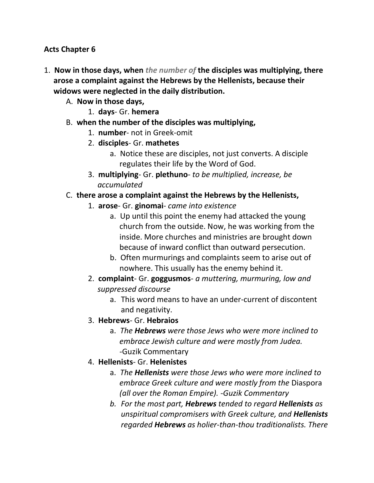#### **Acts Chapter 6**

- 1. **Now in those days, when** *the number of* **the disciples was multiplying, there arose a complaint against the Hebrews by the Hellenists, because their widows were neglected in the daily distribution.** 
	- A. **Now in those days,**
		- 1. **days** Gr. **hemera**
	- B. **when the number of the disciples was multiplying,**
		- 1. **number** not in Greek-omit
		- 2. **disciples** Gr. **mathetes**
			- a. Notice these are disciples, not just converts. A disciple regulates their life by the Word of God.
		- 3. **multiplying** Gr. **plethuno** *to be multiplied, increase, be accumulated*

#### C. **there arose a complaint against the Hebrews by the Hellenists,**

- 1. **arose** Gr. **ginomai** *came into existence*
	- a. Up until this point the enemy had attacked the young church from the outside. Now, he was working from the inside. More churches and ministries are brought down because of inward conflict than outward persecution.
	- b. Often murmurings and complaints seem to arise out of nowhere. This usually has the enemy behind it.
- 2. **complaint** Gr. **goggusmos** *a muttering, murmuring, low and suppressed discourse*
	- a. This word means to have an under-current of discontent and negativity.
- 3. **Hebrews** Gr. **Hebraios**
	- a. *The Hebrews were those Jews who were more inclined to embrace Jewish culture and were mostly from Judea. -*Guzik Commentary
- 4. **Hellenists** Gr. **Helenistes**
	- a. *The Hellenists were those Jews who were more inclined to embrace Greek culture and were mostly from the* Diaspora  *(all over the Roman Empire). -Guzik Commentary*
	- *b. For the most part, Hebrews tended to regard Hellenists as unspiritual compromisers with Greek culture, and Hellenists regarded Hebrews as holier-than-thou traditionalists. There*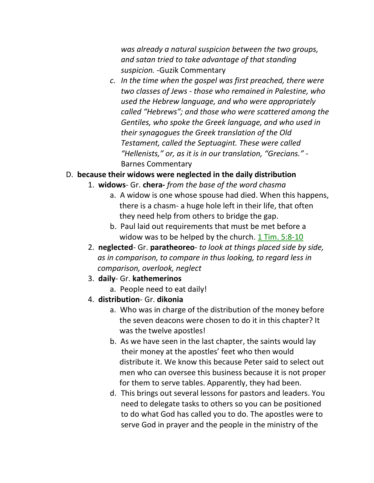*was already a natural suspicion between the two groups, and satan tried to take advantage of that standing suspicion. -*Guzik Commentary

*c. In the time when the gospel was first preached, there were two classes of Jews - those who remained in Palestine, who used the Hebrew language, and who were appropriately called "Hebrews"; and those who were scattered among the Gentiles, who spoke the Greek language, and who used in their synagogues the Greek translation of the Old Testament, called the Septuagint. These were called "Hellenists," or, as it is in our translation, "Grecians."* - Barnes Commentary

#### D. **because their widows were neglected in the daily distribution**

- 1. **widows** Gr. **chera-** *from the base of the word chasma*
	- a. A widow is one whose spouse had died. When this happens, there is a chasm- a huge hole left in their life, that often they need help from others to bridge the gap.
	- b. Paul laid out requirements that must be met before a widow was to be helped by the church. 1 Tim. 5:8-10
- 2. **neglected** Gr. **paratheoreo** *to look at things placed side by side, as in comparison, to compare in thus looking, to regard less in comparison, overlook, neglect*
- 3. **daily** Gr. **kathemerinos**
	- a. People need to eat daily!
- 4. **distribution** Gr. **dikonia**
	- a. Who was in charge of the distribution of the money before the seven deacons were chosen to do it in this chapter? It was the twelve apostles!
	- b. As we have seen in the last chapter, the saints would lay their money at the apostles' feet who then would distribute it. We know this because Peter said to select out men who can oversee this business because it is not proper for them to serve tables. Apparently, they had been.
	- d. This brings out several lessons for pastors and leaders. You need to delegate tasks to others so you can be positioned to do what God has called you to do. The apostles were to serve God in prayer and the people in the ministry of the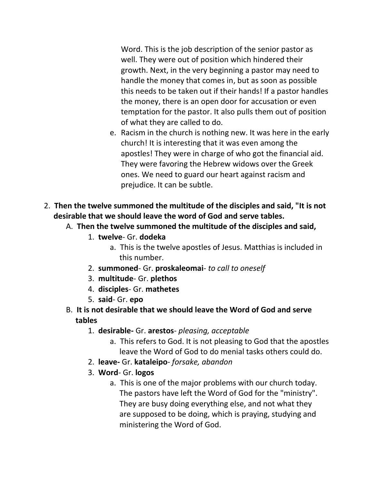Word. This is the job description of the senior pastor as well. They were out of position which hindered their growth. Next, in the very beginning a pastor may need to handle the money that comes in, but as soon as possible this needs to be taken out if their hands! If a pastor handles the money, there is an open door for accusation or even temptation for the pastor. It also pulls them out of position of what they are called to do.

- e. Racism in the church is nothing new. It was here in the early church! It is interesting that it was even among the apostles! They were in charge of who got the financial aid. They were favoring the Hebrew widows over the Greek ones. We need to guard our heart against racism and prejudice. It can be subtle.
- 2. **Then the twelve summoned the multitude of the disciples and said, "It is not desirable that we should leave the word of God and serve tables.** 
	- A. **Then the twelve summoned the multitude of the disciples and said,**
		- 1. **twelve** Gr. **dodeka**
			- a. This is the twelve apostles of Jesus. Matthias is included in this number.
		- 2. **summoned** Gr. **proskaleomai** *to call to oneself*
		- 3. **multitude** Gr. **plethos**
		- 4. **disciples** Gr. **mathetes**
		- 5. **said** Gr. **epo**
	- B. **It is not desirable that we should leave the Word of God and serve tables**
		- 1. **desirable-** Gr. **arestos** *pleasing, acceptable*
			- a. This refers to God. It is not pleasing to God that the apostles leave the Word of God to do menial tasks others could do.
		- 2. **leave-** Gr. **kataleipo** *forsake, abandon*
		- 3. **Word** Gr. **logos**
			- a. This is one of the major problems with our church today. The pastors have left the Word of God for the "ministry". They are busy doing everything else, and not what they are supposed to be doing, which is praying, studying and ministering the Word of God.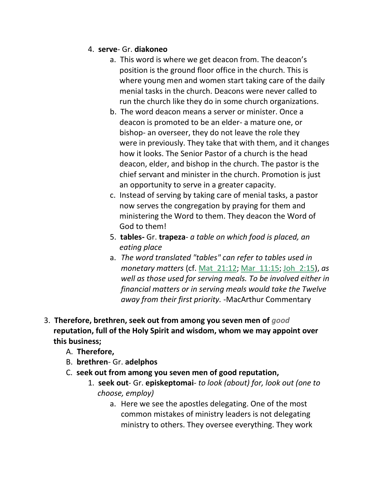#### 4. **serve**- Gr. **diakoneo**

- a. This word is where we get deacon from. The deacon's position is the ground floor office in the church. This is where young men and women start taking care of the daily menial tasks in the church. Deacons were never called to run the church like they do in some church organizations.
- b. The word deacon means a server or minister. Once a deacon is promoted to be an elder- a mature one, or bishop- an overseer, they do not leave the role they were in previously. They take that with them, and it changes how it looks. The Senior Pastor of a church is the head deacon, elder, and bishop in the church. The pastor is the chief servant and minister in the church. Promotion is just an opportunity to serve in a greater capacity.
- c. Instead of serving by taking care of menial tasks, a pastor now serves the congregation by praying for them and ministering the Word to them. They deacon the Word of God to them!
- 5. **tables-** Gr. **trapeza** *a table on which food is placed, an eating place*
- a. *The word translated "tables" can refer to tables used in monetary matters* (cf. Mat\_21:12; Mar\_11:15; Joh\_2:15), *as well as those used for serving meals. To be involved either in financial matters or in serving meals would take the Twelve away from their first priority.* -MacArthur Commentary
- 3. **Therefore, brethren, seek out from among you seven men of** *good*  **reputation, full of the Holy Spirit and wisdom, whom we may appoint over this business;** 
	- A. **Therefore,**
	- B. **brethren** Gr. **adelphos**
	- C. **seek out from among you seven men of good reputation,**
		- 1. **seek out** Gr. **episkeptomai** *to look (about) for, look out (one to choose, employ)*
			- a. Here we see the apostles delegating. One of the most common mistakes of ministry leaders is not delegating ministry to others. They oversee everything. They work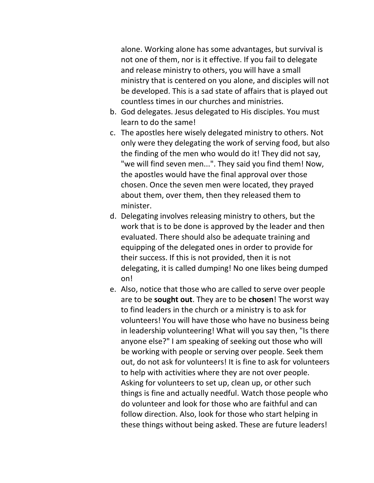alone. Working alone has some advantages, but survival is not one of them, nor is it effective. If you fail to delegate and release ministry to others, you will have a small ministry that is centered on you alone, and disciples will not be developed. This is a sad state of affairs that is played out countless times in our churches and ministries.

- b. God delegates. Jesus delegated to His disciples. You must learn to do the same!
- c. The apostles here wisely delegated ministry to others. Not only were they delegating the work of serving food, but also the finding of the men who would do it! They did not say, "we will find seven men...". They said you find them! Now, the apostles would have the final approval over those chosen. Once the seven men were located, they prayed about them, over them, then they released them to minister.
- d. Delegating involves releasing ministry to others, but the work that is to be done is approved by the leader and then evaluated. There should also be adequate training and equipping of the delegated ones in order to provide for their success. If this is not provided, then it is not delegating, it is called dumping! No one likes being dumped on!
- e. Also, notice that those who are called to serve over people are to be **sought out**. They are to be **chosen**! The worst way to find leaders in the church or a ministry is to ask for volunteers! You will have those who have no business being in leadership volunteering! What will you say then, "Is there anyone else?" I am speaking of seeking out those who will be working with people or serving over people. Seek them out, do not ask for volunteers! It is fine to ask for volunteers to help with activities where they are not over people. Asking for volunteers to set up, clean up, or other such things is fine and actually needful. Watch those people who do volunteer and look for those who are faithful and can follow direction. Also, look for those who start helping in these things without being asked. These are future leaders!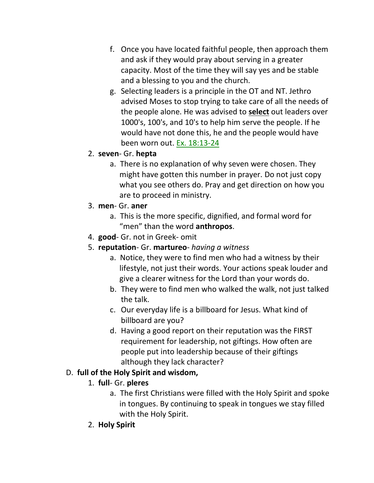- f. Once you have located faithful people, then approach them and ask if they would pray about serving in a greater capacity. Most of the time they will say yes and be stable and a blessing to you and the church.
- g. Selecting leaders is a principle in the OT and NT. Jethro advised Moses to stop trying to take care of all the needs of the people alone. He was advised to **select** out leaders over 1000's, 100's, and 10's to help him serve the people. If he would have not done this, he and the people would have been worn out. Ex. 18:13-24
- 2. **seven** Gr. **hepta**
	- a. There is no explanation of why seven were chosen. They might have gotten this number in prayer. Do not just copy what you see others do. Pray and get direction on how you are to proceed in ministry.
- 3. **men** Gr. **aner**
	- a. This is the more specific, dignified, and formal word for "men" than the word **anthropos**.
- 4. **good** Gr. not in Greek- omit
- 5. **reputation** Gr. **martureo** *having a witness*
	- a. Notice, they were to find men who had a witness by their lifestyle, not just their words. Your actions speak louder and give a clearer witness for the Lord than your words do.
	- b. They were to find men who walked the walk, not just talked the talk.
	- c. Our everyday life is a billboard for Jesus. What kind of billboard are you?
	- d. Having a good report on their reputation was the FIRST requirement for leadership, not giftings. How often are people put into leadership because of their giftings although they lack character?

# D. **full of the Holy Spirit and wisdom,**

- 1. **full** Gr. **pleres**
	- a. The first Christians were filled with the Holy Spirit and spoke in tongues. By continuing to speak in tongues we stay filled with the Holy Spirit.
- 2. **Holy Spirit**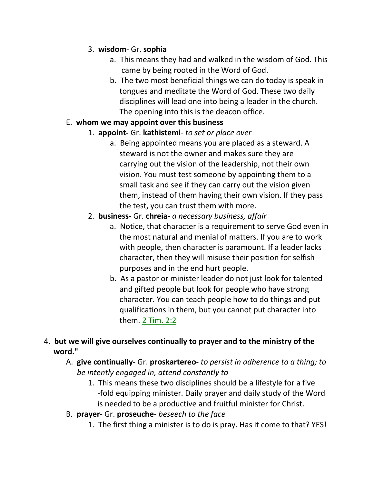### 3. **wisdom**- Gr. **sophia**

- a. This means they had and walked in the wisdom of God. This came by being rooted in the Word of God.
- b. The two most beneficial things we can do today is speak in tongues and meditate the Word of God. These two daily disciplines will lead one into being a leader in the church. The opening into this is the deacon office.

### E. **whom we may appoint over this business**

- 1. **appoint-** Gr. **kathistemi** *to set or place over*
	- a. Being appointed means you are placed as a steward. A steward is not the owner and makes sure they are carrying out the vision of the leadership, not their own vision. You must test someone by appointing them to a small task and see if they can carry out the vision given them, instead of them having their own vision. If they pass the test, you can trust them with more.
- 2. **business** Gr. **chreia** *a necessary business, affair*
	- a. Notice, that character is a requirement to serve God even in the most natural and menial of matters. If you are to work with people, then character is paramount. If a leader lacks character, then they will misuse their position for selfish purposes and in the end hurt people.
	- b. As a pastor or minister leader do not just look for talented and gifted people but look for people who have strong character. You can teach people how to do things and put qualifications in them, but you cannot put character into them. 2 Tim. 2:2
- 4. **but we will give ourselves continually to prayer and to the ministry of the word."** 
	- A. **give continually** Gr. **proskartereo** *to persist in adherence to a thing; to be intently engaged in, attend constantly to*
		- 1. This means these two disciplines should be a lifestyle for a five -fold equipping minister. Daily prayer and daily study of the Word is needed to be a productive and fruitful minister for Christ.
	- B. **prayer** Gr. **proseuche** *beseech to the face*
		- 1. The first thing a minister is to do is pray. Has it come to that? YES!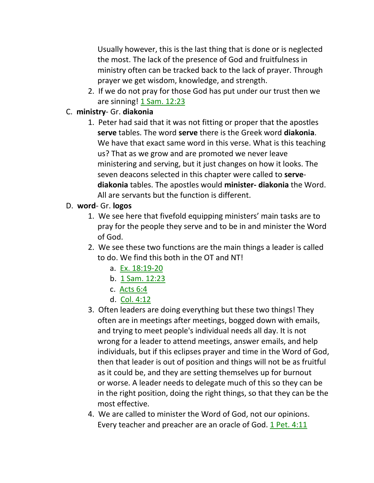Usually however, this is the last thing that is done or is neglected the most. The lack of the presence of God and fruitfulness in ministry often can be tracked back to the lack of prayer. Through prayer we get wisdom, knowledge, and strength.

2. If we do not pray for those God has put under our trust then we are sinning! 1 Sam. 12:23

### C. **ministry**- Gr. **diakonia**

1. Peter had said that it was not fitting or proper that the apostles  **serve** tables. The word **serve** there is the Greek word **diakonia**. We have that exact same word in this verse. What is this teaching us? That as we grow and are promoted we never leave ministering and serving, but it just changes on how it looks. The seven deacons selected in this chapter were called to **serve diakonia** tables. The apostles would **minister- diakonia** the Word. All are servants but the function is different.

### D. **word**- Gr. **logos**

- 1. We see here that fivefold equipping ministers' main tasks are to pray for the people they serve and to be in and minister the Word of God.
- 2. We see these two functions are the main things a leader is called to do. We find this both in the OT and NT!
	- a. Ex. 18:19-20
	- b. 1 Sam. 12:23
	- c. Acts 6:4
	- d. Col. 4:12
- 3. Often leaders are doing everything but these two things! They often are in meetings after meetings, bogged down with emails, and trying to meet people's individual needs all day. It is not wrong for a leader to attend meetings, answer emails, and help individuals, but if this eclipses prayer and time in the Word of God, then that leader is out of position and things will not be as fruitful as it could be, and they are setting themselves up for burnout or worse. A leader needs to delegate much of this so they can be in the right position, doing the right things, so that they can be the most effective.
- 4. We are called to minister the Word of God, not our opinions. Every teacher and preacher are an oracle of God. 1 Pet. 4:11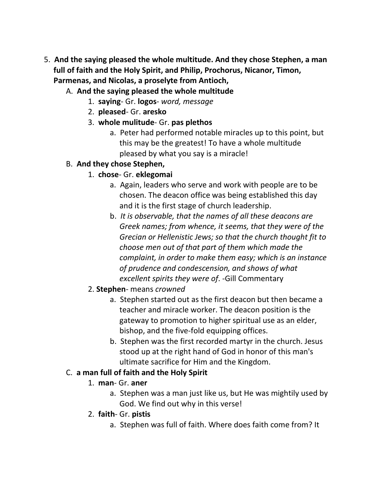- 5. **And the saying pleased the whole multitude. And they chose Stephen, a man full of faith and the Holy Spirit, and Philip, Prochorus, Nicanor, Timon, Parmenas, and Nicolas, a proselyte from Antioch,** 
	- A. **And the saying pleased the whole multitude**
		- 1. **saying** Gr. **logos** *word, message*
		- 2. **pleased** Gr. **aresko**
		- 3. **whole mulitude** Gr. **pas plethos**
			- a. Peter had performed notable miracles up to this point, but this may be the greatest! To have a whole multitude pleased by what you say is a miracle!

#### B. **And they chose Stephen,**

- 1. **chose** Gr. **eklegomai**
	- a. Again, leaders who serve and work with people are to be chosen. The deacon office was being established this day and it is the first stage of church leadership.
	- b. *It is observable, that the names of all these deacons are Greek names; from whence, it seems, that they were of the Grecian or Hellenistic Jews; so that the church thought fit to choose men out of that part of them which made the complaint, in order to make them easy; which is an instance of prudence and condescension, and shows of what excellent spirits they were of*. -Gill Commentary
- 2. **Stephen** means *crowned*
	- a. Stephen started out as the first deacon but then became a teacher and miracle worker. The deacon position is the gateway to promotion to higher spiritual use as an elder, bishop, and the five-fold equipping offices.
	- b. Stephen was the first recorded martyr in the church. Jesus stood up at the right hand of God in honor of this man's ultimate sacrifice for Him and the Kingdom.

#### C. **a man full of faith and the Holy Spirit**

#### 1. **man**- Gr. **aner**

- a. Stephen was a man just like us, but He was mightily used by God. We find out why in this verse!
- 2. **faith** Gr. **pistis**
	- a. Stephen was full of faith. Where does faith come from? It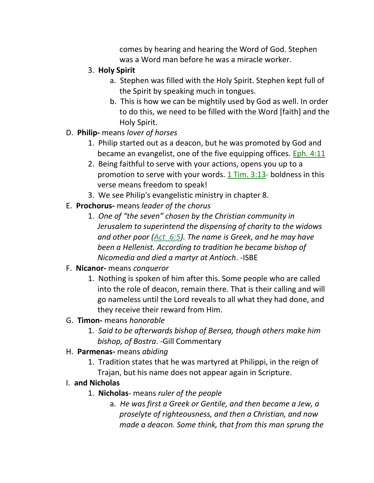comes by hearing and hearing the Word of God. Stephen was a Word man before he was a miracle worker.

- 3. **Holy Spirit**
	- a. Stephen was filled with the Holy Spirit. Stephen kept full of the Spirit by speaking much in tongues.
	- b. This is how we can be mightily used by God as well. In order to do this, we need to be filled with the Word [faith] and the Holy Spirit.
- D. **Philip-** means *lover of horses*
	- 1. Philip started out as a deacon, but he was promoted by God and became an evangelist, one of the five equipping offices. **Eph. 4:11**
	- 2. Being faithful to serve with your actions, opens you up to a promotion to serve with your words.  $1$  Tim.  $3:13$ - boldness in this verse means freedom to speak!
	- 3. We see Philip's evangelistic ministry in chapter 8.
- E. **Prochorus-** means *leader of the chorus*
	- 1. *One of "the seven" chosen by the Christian community in Jerusalem to superintend the dispensing of charity to the widows and other poor (Act\_6:5). The name is Greek, and he may have been a Hellenist. According to tradition he became bishop of Nicomedia and died a martyr at Antioch*. -ISBE

# F. **Nicanor-** means *conqueror*

- 1. Nothing is spoken of him after this. Some people who are called into the role of deacon, remain there. That is their calling and will go nameless until the Lord reveals to all what they had done, and they receive their reward from Him.
- G. **Timon-** means *honorable*
	- 1. *Said to be afterwards bishop of Bersea, though others make him bishop, of Bostra*. -Gill Commentary
- H. **Parmenas-** means *abiding*
	- 1. Tradition states that he was martyred at Philippi, in the reign of Trajan, but his name does not appear again in Scripture.

# I. **and Nicholas**

- 1. **Nicholas** means *ruler of the people*
	- a. *He was first a Greek or Gentile, and then became a Jew, a proselyte of righteousness, and then a Christian, and now made a deacon. Some think, that from this man sprung the*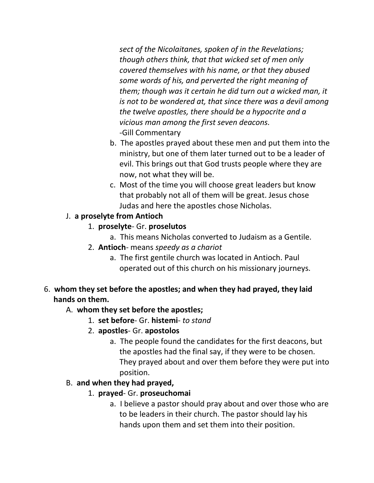*sect of the Nicolaitanes, spoken of in the Revelations; though others think, that that wicked set of men only covered themselves with his name, or that they abused some words of his, and perverted the right meaning of them; though was it certain he did turn out a wicked man, it is not to be wondered at, that since there was a devil among the twelve apostles, there should be a hypocrite and a vicious man among the first seven deacons.* -Gill Commentary

- b. The apostles prayed about these men and put them into the ministry, but one of them later turned out to be a leader of evil. This brings out that God trusts people where they are now, not what they will be.
- c. Most of the time you will choose great leaders but know that probably not all of them will be great. Jesus chose Judas and here the apostles chose Nicholas.

### J. **a proselyte from Antioch**

- 1. **proselyte** Gr. **proselutos**
	- a. This means Nicholas converted to Judaism as a Gentile.
- 2. **Antioch** means *speedy as a chariot*
	- a. The first gentile church was located in Antioch. Paul operated out of this church on his missionary journeys.

# 6. **whom they set before the apostles; and when they had prayed, they laid hands on them.**

# A. **whom they set before the apostles;**

- 1. **set before** Gr. **histemi** *to stand*
- 2. **apostles** Gr. **apostolos**
	- a. The people found the candidates for the first deacons, but the apostles had the final say, if they were to be chosen. They prayed about and over them before they were put into position.

# B. **and when they had prayed,**

- 1. **prayed** Gr. **proseuchomai**
	- a. I believe a pastor should pray about and over those who are to be leaders in their church. The pastor should lay his hands upon them and set them into their position.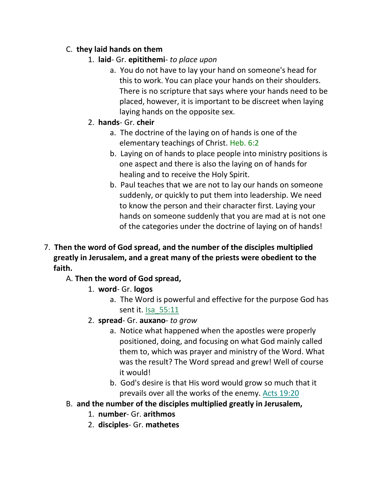### C. **they laid hands on them**

- 1. **laid** Gr. **epitithemi** *to place upon*
	- a. You do not have to lay your hand on someone's head for this to work. You can place your hands on their shoulders. There is no scripture that says where your hands need to be placed, however, it is important to be discreet when laying laying hands on the opposite sex.
- 2. **hands** Gr. **cheir**
	- a. The doctrine of the laying on of hands is one of the elementary teachings of Christ. Heb. 6:2
	- b. Laying on of hands to place people into ministry positions is one aspect and there is also the laying on of hands for healing and to receive the Holy Spirit.
	- b. Paul teaches that we are not to lay our hands on someone suddenly, or quickly to put them into leadership. We need to know the person and their character first. Laying your hands on someone suddenly that you are mad at is not one of the categories under the doctrine of laying on of hands!
- 7. **Then the word of God spread, and the number of the disciples multiplied greatly in Jerusalem, and a great many of the priests were obedient to the faith.**

# A. **Then the word of God spread,**

- 1. **word** Gr. **logos**
	- a. The Word is powerful and effective for the purpose God has sent it. Isa\_55:11
- 2. **spread** Gr. **auxano** *to grow* 
	- a. Notice what happened when the apostles were properly positioned, doing, and focusing on what God mainly called them to, which was prayer and ministry of the Word. What was the result? The Word spread and grew! Well of course it would!
	- b. God's desire is that His word would grow so much that it prevails over all the works of the enemy. Acts 19:20
- B. **and the number of the disciples multiplied greatly in Jerusalem,**
	- 1. **number** Gr. **arithmos**
	- 2. **disciples** Gr. **mathetes**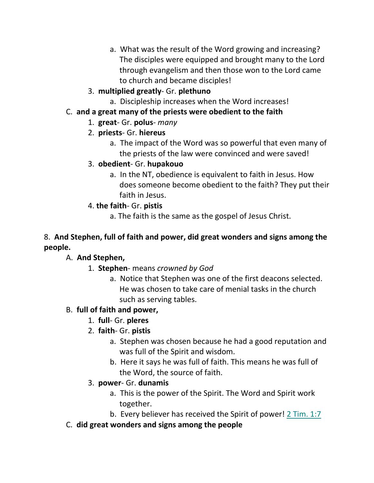- a. What was the result of the Word growing and increasing? The disciples were equipped and brought many to the Lord through evangelism and then those won to the Lord came to church and became disciples!
- 3. **multiplied greatly** Gr. **plethuno**
	- a. Discipleship increases when the Word increases!
- C. **and a great many of the priests were obedient to the faith**
	- 1. **great** Gr. **polus** *many*
	- 2. **priests** Gr. **hiereus**
		- a. The impact of the Word was so powerful that even many of the priests of the law were convinced and were saved!
	- 3. **obedient** Gr. **hupakouo**
		- a. In the NT, obedience is equivalent to faith in Jesus. How does someone become obedient to the faith? They put their faith in Jesus.
	- 4. **the faith** Gr. **pistis**
		- a. The faith is the same as the gospel of Jesus Christ.

# 8. **And Stephen, full of faith and power, did great wonders and signs among the people.**

# A. **And Stephen,**

- 1. **Stephen** means *crowned by God*
	- a. Notice that Stephen was one of the first deacons selected. He was chosen to take care of menial tasks in the church such as serving tables.

# B. **full of faith and power,**

- 1. **full** Gr. **pleres**
- 2. **faith** Gr. **pistis**
	- a. Stephen was chosen because he had a good reputation and was full of the Spirit and wisdom.
	- b. Here it says he was full of faith. This means he was full of the Word, the source of faith.
- 3. **power** Gr. **dunamis**
	- a. This is the power of the Spirit. The Word and Spirit work together.
	- b. Every believer has received the Spirit of power! 2 Tim. 1:7
- C. **did great wonders and signs among the people**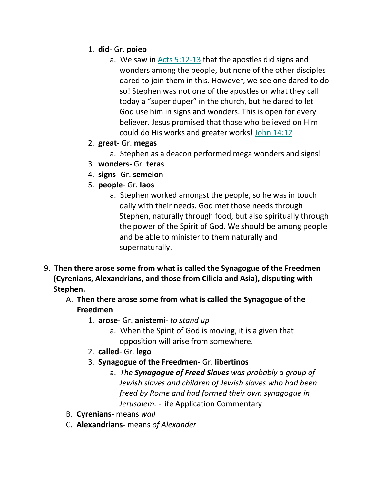- 1. **did** Gr. **poieo**
	- a. We saw in Acts 5:12-13 that the apostles did signs and wonders among the people, but none of the other disciples dared to join them in this. However, we see one dared to do so! Stephen was not one of the apostles or what they call today a "super duper" in the church, but he dared to let God use him in signs and wonders. This is open for every believer. Jesus promised that those who believed on Him could do His works and greater works! John 14:12
- 2. **great** Gr. **megas**
	- a. Stephen as a deacon performed mega wonders and signs!
- 3. **wonders** Gr. **teras**
- 4. **signs** Gr. **semeion**
- 5. **people** Gr. **laos**
	- a. Stephen worked amongst the people, so he was in touch daily with their needs. God met those needs through Stephen, naturally through food, but also spiritually through the power of the Spirit of God. We should be among people and be able to minister to them naturally and supernaturally.
- 9. **Then there arose some from what is called the Synagogue of the Freedmen (Cyrenians, Alexandrians, and those from Cilicia and Asia), disputing with Stephen.**
	- A. **Then there arose some from what is called the Synagogue of the Freedmen**
		- 1. **arose** Gr. **anistemi** *to stand up*
			- a. When the Spirit of God is moving, it is a given that opposition will arise from somewhere.
		- 2. **called** Gr. **lego**
		- 3. **Synagogue of the Freedmen** Gr. **libertinos**
			- a. *The Synagogue of Freed Slaves was probably a group of Jewish slaves and children of Jewish slaves who had been freed by Rome and had formed their own synagogue in Jerusalem.* -Life Application Commentary
	- B. **Cyrenians-** means *wall*
	- C. **Alexandrians-** means *of Alexander*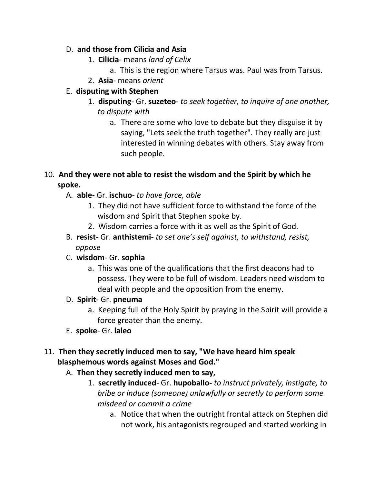### D. **and those from Cilicia and Asia**

- 1. **Cilicia** means *land of Celix*
	- a. This is the region where Tarsus was. Paul was from Tarsus.
- 2. **Asia** means *orient*

### E. **disputing with Stephen**

- 1. **disputing** Gr. **suzeteo** *to seek together, to inquire of one another, to dispute with*
	- a. There are some who love to debate but they disguise it by saying, "Lets seek the truth together". They really are just interested in winning debates with others. Stay away from such people.

# 10. **And they were not able to resist the wisdom and the Spirit by which he spoke.**

- A. **able-** Gr. **ischuo** *to have force, able*
	- 1. They did not have sufficient force to withstand the force of the wisdom and Spirit that Stephen spoke by.
	- 2. Wisdom carries a force with it as well as the Spirit of God.
- B. **resist** Gr. **anthistemi** *to set one's self against, to withstand, resist, oppose*
- C. **wisdom** Gr. **sophia**
	- a. This was one of the qualifications that the first deacons had to possess. They were to be full of wisdom. Leaders need wisdom to deal with people and the opposition from the enemy.

#### D. **Spirit**- Gr. **pneuma**

- a. Keeping full of the Holy Spirit by praying in the Spirit will provide a force greater than the enemy.
- E. **spoke** Gr. **laleo**

# 11. **Then they secretly induced men to say, "We have heard him speak blasphemous words against Moses and God."**

- A. **Then they secretly induced men to say,**
	- 1. **secretly induced** Gr. **hupoballo-** *to instruct privately, instigate, to bribe or induce (someone) unlawfully or secretly to perform some misdeed or commit a crime*
		- a. Notice that when the outright frontal attack on Stephen did not work, his antagonists regrouped and started working in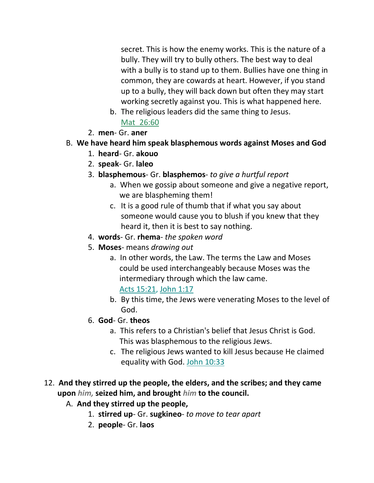secret. This is how the enemy works. This is the nature of a bully. They will try to bully others. The best way to deal with a bully is to stand up to them. Bullies have one thing in common, they are cowards at heart. However, if you stand up to a bully, they will back down but often they may start working secretly against you. This is what happened here.

- b. The religious leaders did the same thing to Jesus. Mat\_26:60
- 2. **men** Gr. **aner**
- B. **We have heard him speak blasphemous words against Moses and God**
	- 1. **heard** Gr. **akouo**
	- 2. **speak** Gr. **laleo**
	- 3. **blasphemous** Gr. **blasphemos** *to give a hurtful report*
		- a. When we gossip about someone and give a negative report, we are blaspheming them!
		- c. It is a good rule of thumb that if what you say about someone would cause you to blush if you knew that they heard it, then it is best to say nothing.
	- 4. **words** Gr. **rhema** *the spoken word*
	- 5. **Moses** means *drawing out*
		- a. In other words, the Law. The terms the Law and Moses could be used interchangeably because Moses was the intermediary through which the law came.

Acts 15:21, John 1:17

- b. By this time, the Jews were venerating Moses to the level of God.
- 6. **God** Gr. **theos**
	- a. This refers to a Christian's belief that Jesus Christ is God. This was blasphemous to the religious Jews.
	- c. The religious Jews wanted to kill Jesus because He claimed equality with God. John 10:33
- 12. **And they stirred up the people, the elders, and the scribes; and they came upon** *him,* **seized him, and brought** *him* **to the council.**
	- A. **And they stirred up the people,**
		- 1. **stirred up** Gr. **sugkineo** *to move to tear apart*
		- 2. **people** Gr. **laos**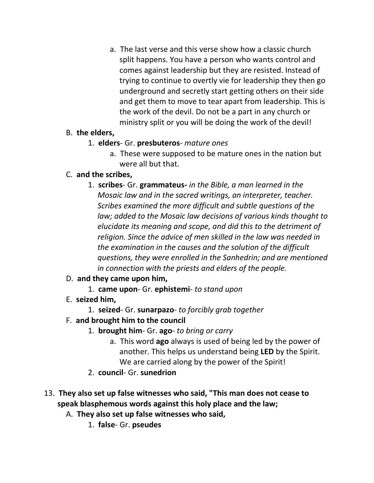a. The last verse and this verse show how a classic church split happens. You have a person who wants control and comes against leadership but they are resisted. Instead of trying to continue to overtly vie for leadership they then go underground and secretly start getting others on their side and get them to move to tear apart from leadership. This is the work of the devil. Do not be a part in any church or ministry split or you will be doing the work of the devil!

#### B. **the elders,**

- 1. **elders** Gr. **presbuteros** *mature ones*
	- a. These were supposed to be mature ones in the nation but were all but that.

#### C. **and the scribes,**

1. **scribes**- Gr. **grammateus-** *in the Bible, a man learned in the Mosaic law and in the sacred writings, an interpreter, teacher. Scribes examined the more difficult and subtle questions of the law; added to the Mosaic law decisions of various kinds thought to elucidate its meaning and scope, and did this to the detriment of religion. Since the advice of men skilled in the law was needed in the examination in the causes and the solution of the difficult questions, they were enrolled in the Sanhedrin; and are mentioned in connection with the priests and elders of the people.*

# D. **and they came upon him,**

- 1. **came upon** Gr. **ephistemi** *to stand upon*
- E. **seized him,**
	- 1. **seized** Gr. **sunarpazo** *to forcibly grab together*
- F. **and brought him to the council**
	- 1. **brought him** Gr. **ago** *to bring or carry*
		- a. This word **ago** always is used of being led by the power of another. This helps us understand being **LED** by the Spirit. We are carried along by the power of the Spirit!
	- 2. **council** Gr. **sunedrion**
- 13. **They also set up false witnesses who said, "This man does not cease to speak blasphemous words against this holy place and the law;** 
	- A. **They also set up false witnesses who said,**
		- 1. **false** Gr. **pseudes**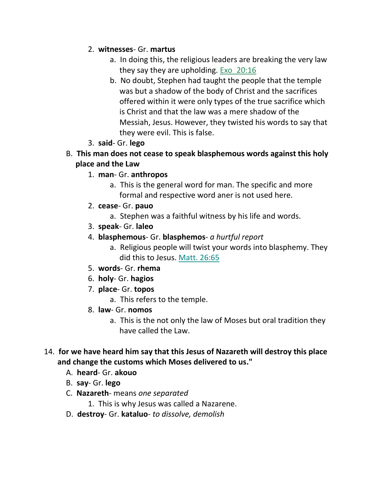### 2. **witnesses**- Gr. **martus**

- a. In doing this, the religious leaders are breaking the very law they say they are upholding. Exo 20:16
- b. No doubt, Stephen had taught the people that the temple was but a shadow of the body of Christ and the sacrifices offered within it were only types of the true sacrifice which is Christ and that the law was a mere shadow of the Messiah, Jesus. However, they twisted his words to say that they were evil. This is false.
- 3. **said** Gr. **lego**
- B. **This man does not cease to speak blasphemous words against this holy place and the Law**
	- 1. **man** Gr. **anthropos**
		- a. This is the general word for man. The specific and more formal and respective word aner is not used here.
	- 2. **cease** Gr. **pauo**
		- a. Stephen was a faithful witness by his life and words.
	- 3. **speak** Gr. **laleo**
	- 4. **blasphemous** Gr. **blasphemos** *a hurtful report*
		- a. Religious people will twist your words into blasphemy. They did this to Jesus. Matt. 26:65
	- 5. **words** Gr. **rhema**
	- 6. **holy** Gr. **hagios**
	- 7. **place** Gr. **topos**
		- a. This refers to the temple.
	- 8. **law** Gr. **nomos**
		- a. This is the not only the law of Moses but oral tradition they have called the Law.
- 14. **for we have heard him say that this Jesus of Nazareth will destroy this place and change the customs which Moses delivered to us."**
	- A. **heard** Gr. **akouo**
	- B. **say** Gr. **lego**
	- C. **Nazareth** means *one separated*
		- 1. This is why Jesus was called a Nazarene.
	- D. **destroy** Gr. **kataluo** *to dissolve, demolish*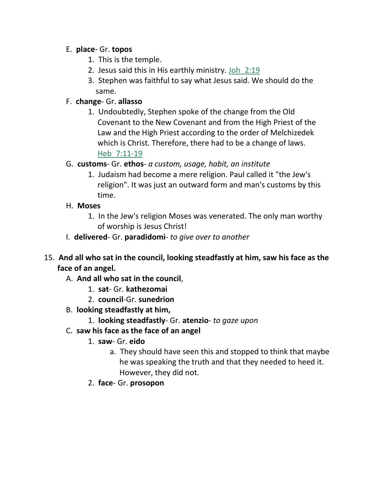#### E. **place**- Gr. **topos**

- 1. This is the temple.
- 2. Jesus said this in His earthly ministry. Joh\_2:19
- 3. Stephen was faithful to say what Jesus said. We should do the same.

### F. **change**- Gr. **allasso**

- 1. Undoubtedly, Stephen spoke of the change from the Old Covenant to the New Covenant and from the High Priest of the Law and the High Priest according to the order of Melchizedek which is Christ. Therefore, there had to be a change of laws. Heb\_7:11-19
- G. **customs** Gr. **ethos** *a custom, usage, habit, an institute*
	- 1. Judaism had become a mere religion. Paul called it "the Jew's religion". It was just an outward form and man's customs by this time.
- H. **Moses**
	- 1. In the Jew's religion Moses was venerated. The only man worthy of worship is Jesus Christ!
- I. **delivered** Gr. **paradidomi** *to give over to another*
- 15. **And all who sat in the council, looking steadfastly at him, saw his face as the face of an angel.** 
	- A. **And all who sat in the council**,
		- 1. **sat** Gr. **kathezomai**
		- 2. **council**-Gr. **sunedrion**
	- B. **looking steadfastly at him,**
		- 1. **looking steadfastly** Gr. **atenzio** *to gaze upon*
	- C. **saw his face as the face of an angel**
		- 1. **saw** Gr. **eido**
			- a. They should have seen this and stopped to think that maybe he was speaking the truth and that they needed to heed it. However, they did not.
		- 2. **face** Gr. **prosopon**